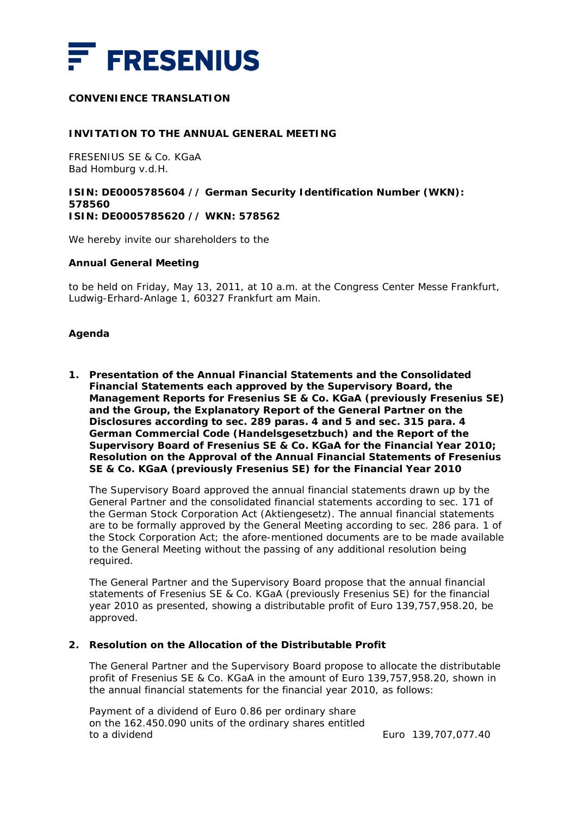

# **CONVENIENCE TRANSLATION**

#### **INVITATION TO THE ANNUAL GENERAL MEETING**

FRESENIUS SE & Co. KGaA Bad Homburg v.d.H.

## **ISIN: DE0005785604 // German Security Identification Number (WKN): 578560 ISIN: DE0005785620 // WKN: 578562**

We hereby invite our shareholders to the

#### **Annual General Meeting**

to be held on Friday, May 13, 2011, at 10 a.m. at the Congress Center Messe Frankfurt, Ludwig-Erhard-Anlage 1, 60327 Frankfurt am Main.

## **Agenda**

**1. Presentation of the Annual Financial Statements and the Consolidated Financial Statements each approved by the Supervisory Board, the Management Reports for Fresenius SE & Co. KGaA (previously Fresenius SE) and the Group, the Explanatory Report of the General Partner on the Disclosures according to sec. 289 paras. 4 and 5 and sec. 315 para. 4 German Commercial Code (***Handelsgesetzbuch***) and the Report of the Supervisory Board of Fresenius SE & Co. KGaA for the Financial Year 2010; Resolution on the Approval of the Annual Financial Statements of Fresenius SE & Co. KGaA (previously Fresenius SE) for the Financial Year 2010** 

The Supervisory Board approved the annual financial statements drawn up by the General Partner and the consolidated financial statements according to sec. 171 of the German Stock Corporation Act (Aktiengesetz). The annual financial statements are to be formally approved by the General Meeting according to sec. 286 para. 1 of the Stock Corporation Act; the afore-mentioned documents are to be made available to the General Meeting without the passing of any additional resolution being required.

The General Partner and the Supervisory Board propose that the annual financial statements of Fresenius SE & Co. KGaA (previously Fresenius SE) for the financial year 2010 as presented, showing a distributable profit of Euro 139,757,958.20, be approved.

## **2. Resolution on the Allocation of the Distributable Profit**

The General Partner and the Supervisory Board propose to allocate the distributable profit of Fresenius SE & Co. KGaA in the amount of Euro 139,757,958.20, shown in the annual financial statements for the financial year 2010, as follows:

Payment of a dividend of Euro 0.86 per ordinary share on the 162.450.090 units of the ordinary shares entitled to a dividend Euro 139,707,077.40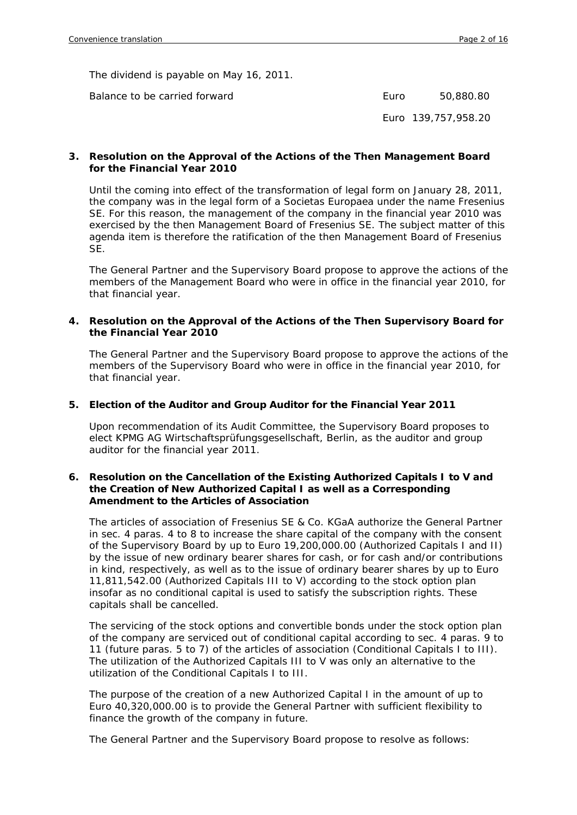The dividend is payable on May 16, 2011.

Balance to be carried forward

| Euro | 50,880.80 |
|------|-----------|
|      |           |

Euro 139,757,958.20

#### **3. Resolution on the Approval of the Actions of the Then Management Board for the Financial Year 2010**

Until the coming into effect of the transformation of legal form on January 28, 2011, the company was in the legal form of a Societas Europaea under the name Fresenius SE. For this reason, the management of the company in the financial year 2010 was exercised by the then Management Board of Fresenius SE. The subject matter of this agenda item is therefore the ratification of the then Management Board of Fresenius SE.

The General Partner and the Supervisory Board propose to approve the actions of the members of the Management Board who were in office in the financial year 2010, for that financial year.

#### **4. Resolution on the Approval of the Actions of the Then Supervisory Board for the Financial Year 2010**

The General Partner and the Supervisory Board propose to approve the actions of the members of the Supervisory Board who were in office in the financial year 2010, for that financial year.

#### **5. Election of the Auditor and Group Auditor for the Financial Year 2011**

Upon recommendation of its Audit Committee, the Supervisory Board proposes to elect KPMG AG Wirtschaftsprüfungsgesellschaft, Berlin, as the auditor and group auditor for the financial year 2011.

#### **6. Resolution on the Cancellation of the Existing Authorized Capitals I to V and the Creation of New Authorized Capital I as well as a Corresponding Amendment to the Articles of Association**

The articles of association of Fresenius SE & Co. KGaA authorize the General Partner in sec. 4 paras. 4 to 8 to increase the share capital of the company with the consent of the Supervisory Board by up to Euro 19,200,000.00 (Authorized Capitals I and II) by the issue of new ordinary bearer shares for cash, or for cash and/or contributions in kind, respectively, as well as to the issue of ordinary bearer shares by up to Euro 11,811,542.00 (Authorized Capitals III to V) according to the stock option plan insofar as no conditional capital is used to satisfy the subscription rights. These capitals shall be cancelled.

The servicing of the stock options and convertible bonds under the stock option plan of the company are serviced out of conditional capital according to sec. 4 paras. 9 to 11 (future paras. 5 to 7) of the articles of association (Conditional Capitals I to III). The utilization of the Authorized Capitals III to V was only an alternative to the utilization of the Conditional Capitals I to III.

The purpose of the creation of a new Authorized Capital I in the amount of up to Euro 40,320,000.00 is to provide the General Partner with sufficient flexibility to finance the growth of the company in future.

The General Partner and the Supervisory Board propose to resolve as follows: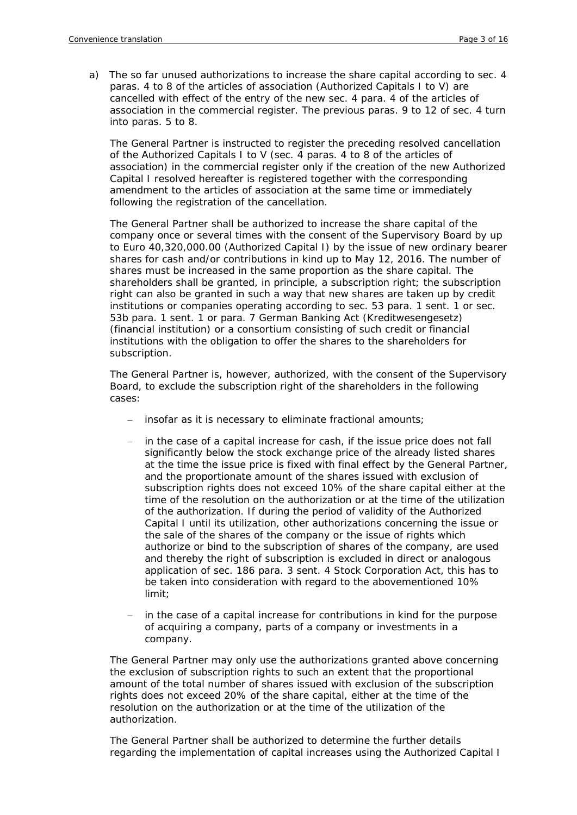a) The so far unused authorizations to increase the share capital according to sec. 4 paras. 4 to 8 of the articles of association (Authorized Capitals I to V) are cancelled with effect of the entry of the new sec. 4 para. 4 of the articles of association in the commercial register. The previous paras. 9 to 12 of sec. 4 turn into paras. 5 to 8.

The General Partner is instructed to register the preceding resolved cancellation of the Authorized Capitals I to V (sec. 4 paras. 4 to 8 of the articles of association) in the commercial register only if the creation of the new Authorized Capital I resolved hereafter is registered together with the corresponding amendment to the articles of association at the same time or immediately following the registration of the cancellation.

The General Partner shall be authorized to increase the share capital of the company once or several times with the consent of the Supervisory Board by up to Euro 40,320,000.00 (Authorized Capital I) by the issue of new ordinary bearer shares for cash and/or contributions in kind up to May 12, 2016. The number of shares must be increased in the same proportion as the share capital. The shareholders shall be granted, in principle, a subscription right; the subscription right can also be granted in such a way that new shares are taken up by credit institutions or companies operating according to sec. 53 para. 1 sent. 1 or sec. 53b para. 1 sent. 1 or para. 7 German Banking Act (Kreditwesengesetz) (financial institution) or a consortium consisting of such credit or financial institutions with the obligation to offer the shares to the shareholders for subscription.

The General Partner is, however, authorized, with the consent of the Supervisory Board, to exclude the subscription right of the shareholders in the following cases:

- insofar as it is necessary to eliminate fractional amounts;
- in the case of a capital increase for cash, if the issue price does not fall significantly below the stock exchange price of the already listed shares at the time the issue price is fixed with final effect by the General Partner, and the proportionate amount of the shares issued with exclusion of subscription rights does not exceed 10% of the share capital either at the time of the resolution on the authorization or at the time of the utilization of the authorization. If during the period of validity of the Authorized Capital I until its utilization, other authorizations concerning the issue or the sale of the shares of the company or the issue of rights which authorize or bind to the subscription of shares of the company, are used and thereby the right of subscription is excluded in direct or analogous application of sec. 186 para. 3 sent. 4 Stock Corporation Act, this has to be taken into consideration with regard to the abovementioned 10% limit;
- in the case of a capital increase for contributions in kind for the purpose of acquiring a company, parts of a company or investments in a company.

The General Partner may only use the authorizations granted above concerning the exclusion of subscription rights to such an extent that the proportional amount of the total number of shares issued with exclusion of the subscription rights does not exceed 20% of the share capital, either at the time of the resolution on the authorization or at the time of the utilization of the authorization.

The General Partner shall be authorized to determine the further details regarding the implementation of capital increases using the Authorized Capital I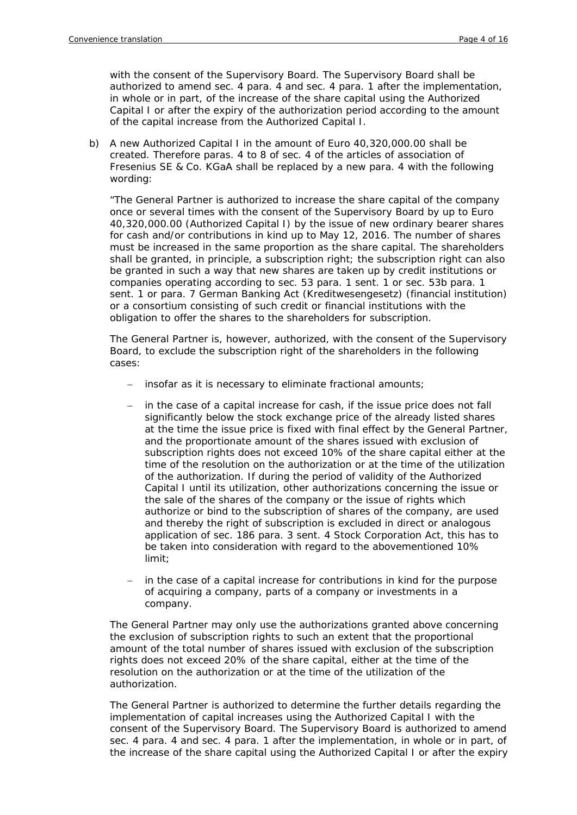with the consent of the Supervisory Board. The Supervisory Board shall be authorized to amend sec. 4 para. 4 and sec. 4 para. 1 after the implementation, in whole or in part, of the increase of the share capital using the Authorized Capital I or after the expiry of the authorization period according to the amount of the capital increase from the Authorized Capital I.

b) A new Authorized Capital I in the amount of Euro 40,320,000.00 shall be created. Therefore paras. 4 to 8 of sec. 4 of the articles of association of Fresenius SE & Co. KGaA shall be replaced by a new para. 4 with the following wording:

"The General Partner is authorized to increase the share capital of the company once or several times with the consent of the Supervisory Board by up to Euro 40,320,000.00 (Authorized Capital I) by the issue of new ordinary bearer shares for cash and/or contributions in kind up to May 12, 2016. The number of shares must be increased in the same proportion as the share capital. The shareholders shall be granted, in principle, a subscription right; the subscription right can also be granted in such a way that new shares are taken up by credit institutions or companies operating according to sec. 53 para. 1 sent. 1 or sec. 53b para. 1 sent. 1 or para. 7 German Banking Act (*Kreditwesengesetz*) (financial institution) or a consortium consisting of such credit or financial institutions with the obligation to offer the shares to the shareholders for subscription.

The General Partner is, however, authorized, with the consent of the Supervisory Board, to exclude the subscription right of the shareholders in the following cases:

- insofar as it is necessary to eliminate fractional amounts;
- in the case of a capital increase for cash, if the issue price does not fall significantly below the stock exchange price of the already listed shares at the time the issue price is fixed with final effect by the General Partner, and the proportionate amount of the shares issued with exclusion of subscription rights does not exceed 10% of the share capital either at the time of the resolution on the authorization or at the time of the utilization of the authorization. If during the period of validity of the Authorized Capital I until its utilization, other authorizations concerning the issue or the sale of the shares of the company or the issue of rights which authorize or bind to the subscription of shares of the company, are used and thereby the right of subscription is excluded in direct or analogous application of sec. 186 para. 3 sent. 4 Stock Corporation Act, this has to be taken into consideration with regard to the abovementioned 10% limit;
- in the case of a capital increase for contributions in kind for the purpose of acquiring a company, parts of a company or investments in a company.

The General Partner may only use the authorizations granted above concerning the exclusion of subscription rights to such an extent that the proportional amount of the total number of shares issued with exclusion of the subscription rights does not exceed 20% of the share capital, either at the time of the resolution on the authorization or at the time of the utilization of the authorization.

The General Partner is authorized to determine the further details regarding the implementation of capital increases using the Authorized Capital I with the consent of the Supervisory Board. The Supervisory Board is authorized to amend sec. 4 para. 4 and sec. 4 para. 1 after the implementation, in whole or in part, of the increase of the share capital using the Authorized Capital I or after the expiry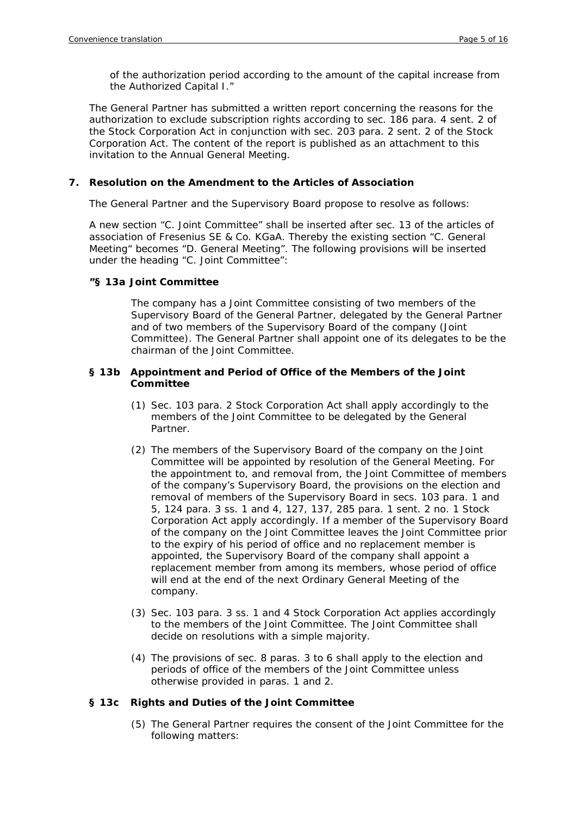of the authorization period according to the amount of the capital increase from the Authorized Capital I."

The General Partner has submitted a written report concerning the reasons for the authorization to exclude subscription rights according to sec. 186 para. 4 sent. 2 of the Stock Corporation Act in conjunction with sec. 203 para. 2 sent. 2 of the Stock Corporation Act. The content of the report is published as an attachment to this invitation to the Annual General Meeting.

## **7. Resolution on the Amendment to the Articles of Association**

The General Partner and the Supervisory Board propose to resolve as follows:

A new section "C. Joint Committee" shall be inserted after sec. 13 of the articles of association of Fresenius SE & Co. KGaA. Thereby the existing section "C. General Meeting" becomes "D. General Meeting". The following provisions will be inserted under the heading "C. Joint Committee":

## **"§ 13a Joint Committee**

The company has a Joint Committee consisting of two members of the Supervisory Board of the General Partner, delegated by the General Partner and of two members of the Supervisory Board of the company (Joint Committee). The General Partner shall appoint one of its delegates to be the chairman of the Joint Committee.

## **§ 13b Appointment and Period of Office of the Members of the Joint Committee**

- (1) Sec. 103 para. 2 Stock Corporation Act shall apply accordingly to the members of the Joint Committee to be delegated by the General Partner.
- (2) The members of the Supervisory Board of the company on the Joint Committee will be appointed by resolution of the General Meeting. For the appointment to, and removal from, the Joint Committee of members of the company's Supervisory Board, the provisions on the election and removal of members of the Supervisory Board in secs. 103 para. 1 and 5, 124 para. 3 ss. 1 and 4, 127, 137, 285 para. 1 sent. 2 no. 1 Stock Corporation Act apply accordingly. If a member of the Supervisory Board of the company on the Joint Committee leaves the Joint Committee prior to the expiry of his period of office and no replacement member is appointed, the Supervisory Board of the company shall appoint a replacement member from among its members, whose period of office will end at the end of the next Ordinary General Meeting of the company.
- (3) Sec. 103 para. 3 ss. 1 and 4 Stock Corporation Act applies accordingly to the members of the Joint Committee. The Joint Committee shall decide on resolutions with a simple majority.
- (4) The provisions of sec. 8 paras. 3 to 6 shall apply to the election and periods of office of the members of the Joint Committee unless otherwise provided in paras. 1 and 2.

## **§ 13c Rights and Duties of the Joint Committee**

(5) The General Partner requires the consent of the Joint Committee for the following matters: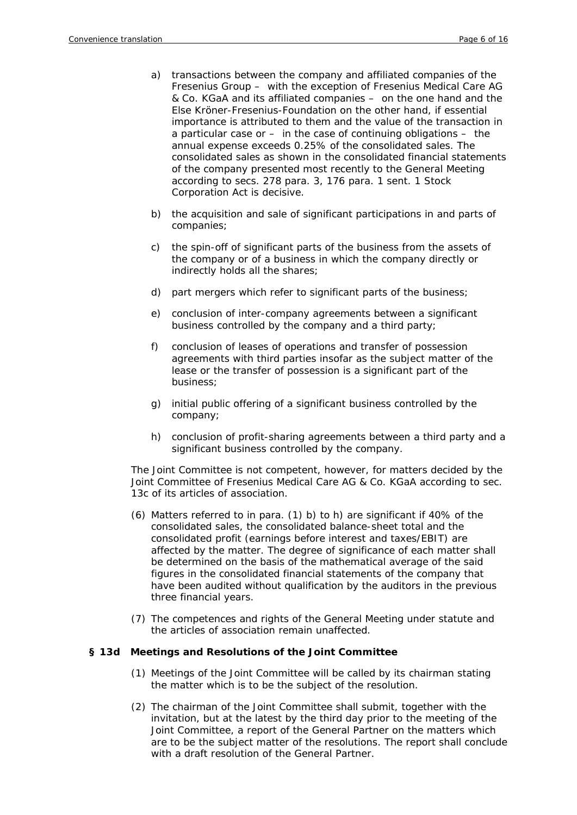- a) transactions between the company and affiliated companies of the Fresenius Group – with the exception of Fresenius Medical Care AG & Co. KGaA and its affiliated companies – on the one hand and the Else Kröner-Fresenius-Foundation on the other hand, if essential importance is attributed to them and the value of the transaction in a particular case or – in the case of continuing obligations – the annual expense exceeds 0.25% of the consolidated sales. The consolidated sales as shown in the consolidated financial statements of the company presented most recently to the General Meeting according to secs. 278 para. 3, 176 para. 1 sent. 1 Stock Corporation Act is decisive.
- b) the acquisition and sale of significant participations in and parts of companies;
- c) the spin-off of significant parts of the business from the assets of the company or of a business in which the company directly or indirectly holds all the shares;
- d) part mergers which refer to significant parts of the business;
- e) conclusion of inter-company agreements between a significant business controlled by the company and a third party;
- f) conclusion of leases of operations and transfer of possession agreements with third parties insofar as the subject matter of the lease or the transfer of possession is a significant part of the business;
- g) initial public offering of a significant business controlled by the company;
- h) conclusion of profit-sharing agreements between a third party and a significant business controlled by the company.

The Joint Committee is not competent, however, for matters decided by the Joint Committee of Fresenius Medical Care AG & Co. KGaA according to sec. 13c of its articles of association.

- (6) Matters referred to in para. (1) b) to h) are significant if 40% of the consolidated sales, the consolidated balance-sheet total and the consolidated profit (earnings before interest and taxes/EBIT) are affected by the matter. The degree of significance of each matter shall be determined on the basis of the mathematical average of the said figures in the consolidated financial statements of the company that have been audited without qualification by the auditors in the previous three financial years.
- (7) The competences and rights of the General Meeting under statute and the articles of association remain unaffected.

## **§ 13d Meetings and Resolutions of the Joint Committee**

- (1) Meetings of the Joint Committee will be called by its chairman stating the matter which is to be the subject of the resolution.
- (2) The chairman of the Joint Committee shall submit, together with the invitation, but at the latest by the third day prior to the meeting of the Joint Committee, a report of the General Partner on the matters which are to be the subject matter of the resolutions. The report shall conclude with a draft resolution of the General Partner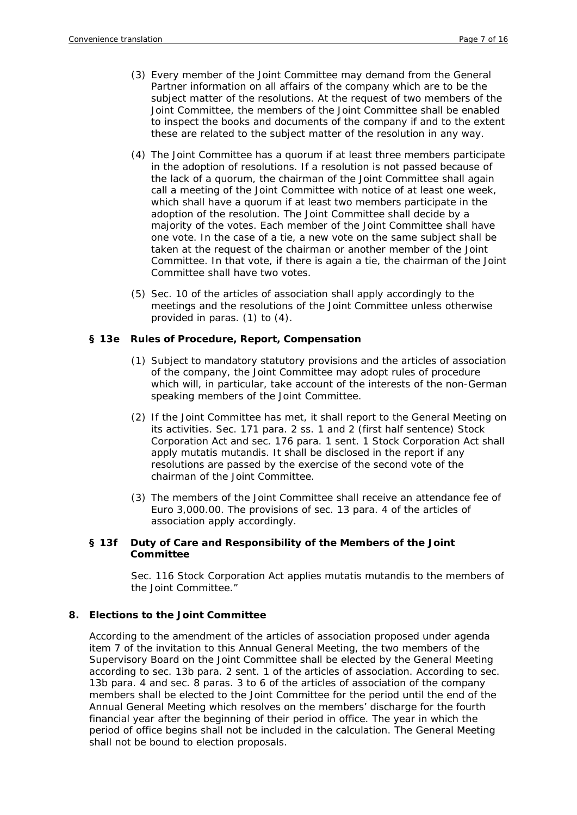- (3) Every member of the Joint Committee may demand from the General Partner information on all affairs of the company which are to be the subject matter of the resolutions. At the request of two members of the Joint Committee, the members of the Joint Committee shall be enabled to inspect the books and documents of the company if and to the extent these are related to the subject matter of the resolution in any way.
- (4) The Joint Committee has a quorum if at least three members participate in the adoption of resolutions. If a resolution is not passed because of the lack of a quorum, the chairman of the Joint Committee shall again call a meeting of the Joint Committee with notice of at least one week, which shall have a quorum if at least two members participate in the adoption of the resolution. The Joint Committee shall decide by a majority of the votes. Each member of the Joint Committee shall have one vote. In the case of a tie, a new vote on the same subject shall be taken at the request of the chairman or another member of the Joint Committee. In that vote, if there is again a tie, the chairman of the Joint Committee shall have two votes.
- (5) Sec. 10 of the articles of association shall apply accordingly to the meetings and the resolutions of the Joint Committee unless otherwise provided in paras. (1) to (4).

## **§ 13e Rules of Procedure, Report, Compensation**

- (1) Subject to mandatory statutory provisions and the articles of association of the company, the Joint Committee may adopt rules of procedure which will, in particular, take account of the interests of the non-German speaking members of the Joint Committee.
- (2) If the Joint Committee has met, it shall report to the General Meeting on its activities. Sec. 171 para. 2 ss. 1 and 2 (first half sentence) Stock Corporation Act and sec. 176 para. 1 sent. 1 Stock Corporation Act shall apply mutatis mutandis. It shall be disclosed in the report if any resolutions are passed by the exercise of the second vote of the chairman of the Joint Committee.
- (3) The members of the Joint Committee shall receive an attendance fee of Euro 3,000.00. The provisions of sec. 13 para. 4 of the articles of association apply accordingly.

## **§ 13f Duty of Care and Responsibility of the Members of the Joint Committee**

Sec. 116 Stock Corporation Act applies mutatis mutandis to the members of the Joint Committee."

## **8. Elections to the Joint Committee**

According to the amendment of the articles of association proposed under agenda item 7 of the invitation to this Annual General Meeting, the two members of the Supervisory Board on the Joint Committee shall be elected by the General Meeting according to sec. 13b para. 2 sent. 1 of the articles of association. According to sec. 13b para. 4 and sec. 8 paras. 3 to 6 of the articles of association of the company members shall be elected to the Joint Committee for the period until the end of the Annual General Meeting which resolves on the members' discharge for the fourth financial year after the beginning of their period in office. The year in which the period of office begins shall not be included in the calculation. The General Meeting shall not be bound to election proposals.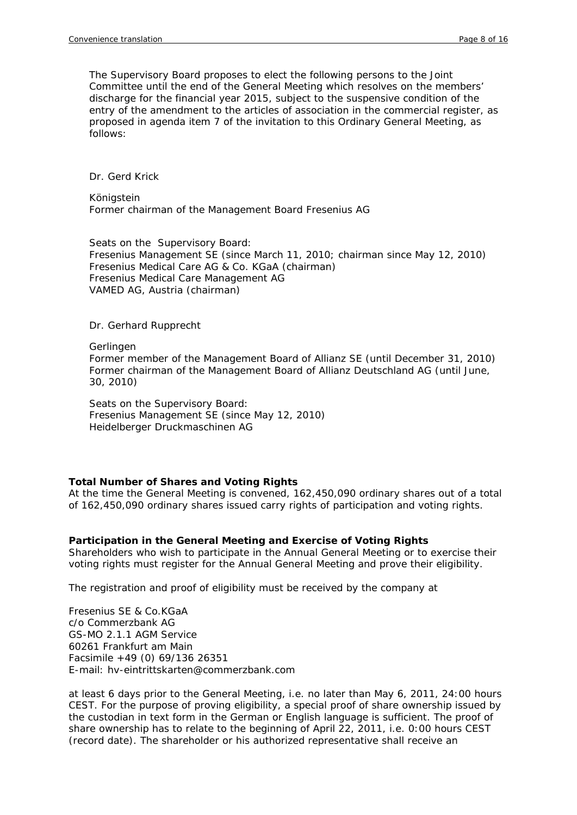The Supervisory Board proposes to elect the following persons to the Joint Committee until the end of the General Meeting which resolves on the members' discharge for the financial year 2015, subject to the suspensive condition of the entry of the amendment to the articles of association in the commercial register, as proposed in agenda item 7 of the invitation to this Ordinary General Meeting, as follows:

Dr. Gerd Krick

Königstein Former chairman of the Management Board Fresenius AG

Seats on the Supervisory Board: Fresenius Management SE (since March 11, 2010; chairman since May 12, 2010) Fresenius Medical Care AG & Co. KGaA (chairman) Fresenius Medical Care Management AG VAMED AG, Austria (chairman)

Dr. Gerhard Rupprecht

Gerlingen

Former member of the Management Board of Allianz SE (until December 31, 2010) Former chairman of the Management Board of Allianz Deutschland AG (until June, 30, 2010)

Seats on the Supervisory Board: Fresenius Management SE (since May 12, 2010) Heidelberger Druckmaschinen AG

## **Total Number of Shares and Voting Rights**

At the time the General Meeting is convened, 162,450,090 ordinary shares out of a total of 162,450,090 ordinary shares issued carry rights of participation and voting rights.

## **Participation in the General Meeting and Exercise of Voting Rights**

Shareholders who wish to participate in the Annual General Meeting or to exercise their voting rights must register for the Annual General Meeting and prove their eligibility.

The registration and proof of eligibility must be received by the company at

Fresenius SE & Co.KGaA c/o Commerzbank AG GS-MO 2.1.1 AGM Service 60261 Frankfurt am Main Facsimile +49 (0) 69/136 26351 E-mail: hv-eintrittskarten@commerzbank.com

at least 6 days prior to the General Meeting, i.e. no later than May 6, 2011, 24:00 hours CEST. For the purpose of proving eligibility, a special proof of share ownership issued by the custodian in text form in the German or English language is sufficient. The proof of share ownership has to relate to the beginning of April 22, 2011, i.e. 0:00 hours CEST (record date). The shareholder or his authorized representative shall receive an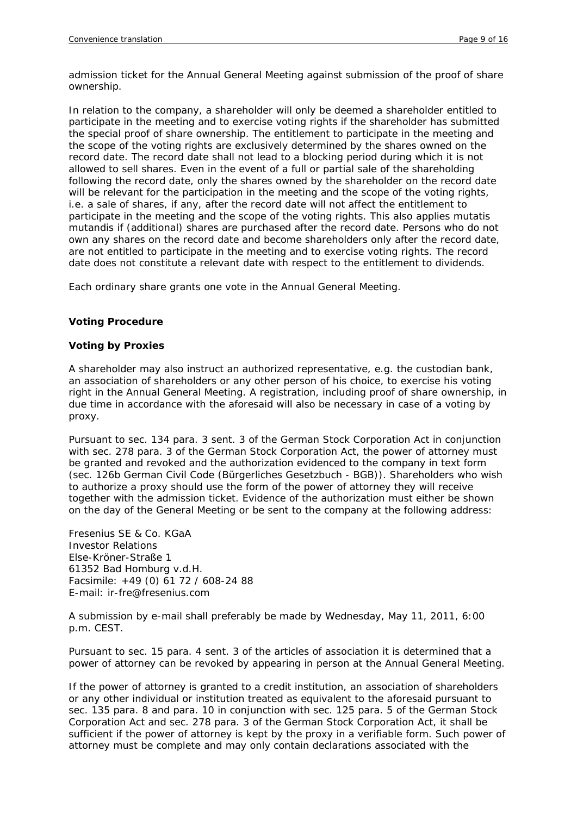admission ticket for the Annual General Meeting against submission of the proof of share ownership.

In relation to the company, a shareholder will only be deemed a shareholder entitled to participate in the meeting and to exercise voting rights if the shareholder has submitted the special proof of share ownership. The entitlement to participate in the meeting and the scope of the voting rights are exclusively determined by the shares owned on the record date. The record date shall not lead to a blocking period during which it is not allowed to sell shares. Even in the event of a full or partial sale of the shareholding following the record date, only the shares owned by the shareholder on the record date will be relevant for the participation in the meeting and the scope of the voting rights, i.e. a sale of shares, if any, after the record date will not affect the entitlement to participate in the meeting and the scope of the voting rights. This also applies mutatis mutandis if (additional) shares are purchased after the record date. Persons who do not own any shares on the record date and become shareholders only after the record date, are not entitled to participate in the meeting and to exercise voting rights. The record date does not constitute a relevant date with respect to the entitlement to dividends.

Each ordinary share grants one vote in the Annual General Meeting.

# **Voting Procedure**

## *Voting by Proxies*

A shareholder may also instruct an authorized representative, e.g. the custodian bank, an association of shareholders or any other person of his choice, to exercise his voting right in the Annual General Meeting. A registration, including proof of share ownership, in due time in accordance with the aforesaid will also be necessary in case of a voting by proxy.

Pursuant to sec. 134 para. 3 sent. 3 of the German Stock Corporation Act in conjunction with sec. 278 para. 3 of the German Stock Corporation Act, the power of attorney must be granted and revoked and the authorization evidenced to the company in text form (sec. 126b German Civil Code (Bürgerliches Gesetzbuch - BGB)). Shareholders who wish to authorize a proxy should use the form of the power of attorney they will receive together with the admission ticket. Evidence of the authorization must either be shown on the day of the General Meeting or be sent to the company at the following address:

Fresenius SE & Co. KGaA Investor Relations Else-Kröner-Straße 1 61352 Bad Homburg v.d.H. Facsimile: +49 (0) 61 72 / 608-24 88 E-mail: ir-fre@fresenius.com

A submission by e-mail shall preferably be made by Wednesday, May 11, 2011, 6:00 p.m. CEST.

Pursuant to sec. 15 para. 4 sent. 3 of the articles of association it is determined that a power of attorney can be revoked by appearing in person at the Annual General Meeting.

If the power of attorney is granted to a credit institution, an association of shareholders or any other individual or institution treated as equivalent to the aforesaid pursuant to sec. 135 para. 8 and para. 10 in conjunction with sec. 125 para. 5 of the German Stock Corporation Act and sec. 278 para. 3 of the German Stock Corporation Act, it shall be sufficient if the power of attorney is kept by the proxy in a verifiable form. Such power of attorney must be complete and may only contain declarations associated with the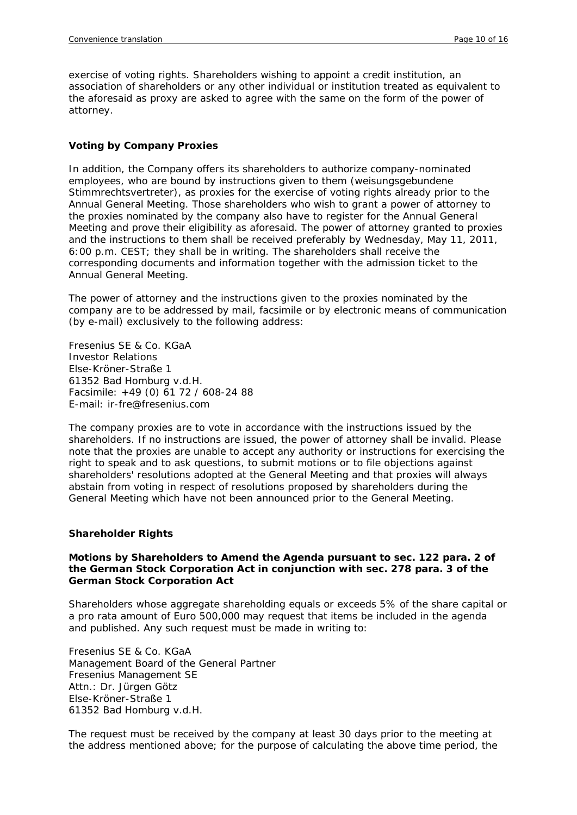exercise of voting rights. Shareholders wishing to appoint a credit institution, an association of shareholders or any other individual or institution treated as equivalent to the aforesaid as proxy are asked to agree with the same on the form of the power of attorney.

## *Voting by Company Proxies*

In addition, the Company offers its shareholders to authorize company-nominated employees, who are bound by instructions given to them (weisungsgebundene Stimmrechtsvertreter), as proxies for the exercise of voting rights already prior to the Annual General Meeting. Those shareholders who wish to grant a power of attorney to the proxies nominated by the company also have to register for the Annual General Meeting and prove their eligibility as aforesaid. The power of attorney granted to proxies and the instructions to them shall be received preferably by Wednesday, May 11, 2011, 6:00 p.m. CEST; they shall be in writing. The shareholders shall receive the corresponding documents and information together with the admission ticket to the Annual General Meeting.

The power of attorney and the instructions given to the proxies nominated by the company are to be addressed by mail, facsimile or by electronic means of communication (by e-mail) exclusively to the following address:

Fresenius SE & Co. KGaA Investor Relations Else-Kröner-Straße 1 61352 Bad Homburg v.d.H. Facsimile: +49 (0) 61 72 / 608-24 88 E-mail: ir-fre@fresenius.com

The company proxies are to vote in accordance with the instructions issued by the shareholders. If no instructions are issued, the power of attorney shall be invalid. Please note that the proxies are unable to accept any authority or instructions for exercising the right to speak and to ask questions, to submit motions or to file objections against shareholders' resolutions adopted at the General Meeting and that proxies will always abstain from voting in respect of resolutions proposed by shareholders during the General Meeting which have not been announced prior to the General Meeting.

## **Shareholder Rights**

#### *Motions by Shareholders to Amend the Agenda pursuant to sec. 122 para. 2 of the German Stock Corporation Act in conjunction with sec. 278 para. 3 of the German Stock Corporation Act*

Shareholders whose aggregate shareholding equals or exceeds 5% of the share capital or a pro rata amount of Euro 500,000 may request that items be included in the agenda and published. Any such request must be made in writing to:

Fresenius SE & Co. KGaA Management Board of the General Partner Fresenius Management SE Attn.: Dr. Jürgen Götz Else-Kröner-Straße 1 61352 Bad Homburg v.d.H.

The request must be received by the company at least 30 days prior to the meeting at the address mentioned above; for the purpose of calculating the above time period, the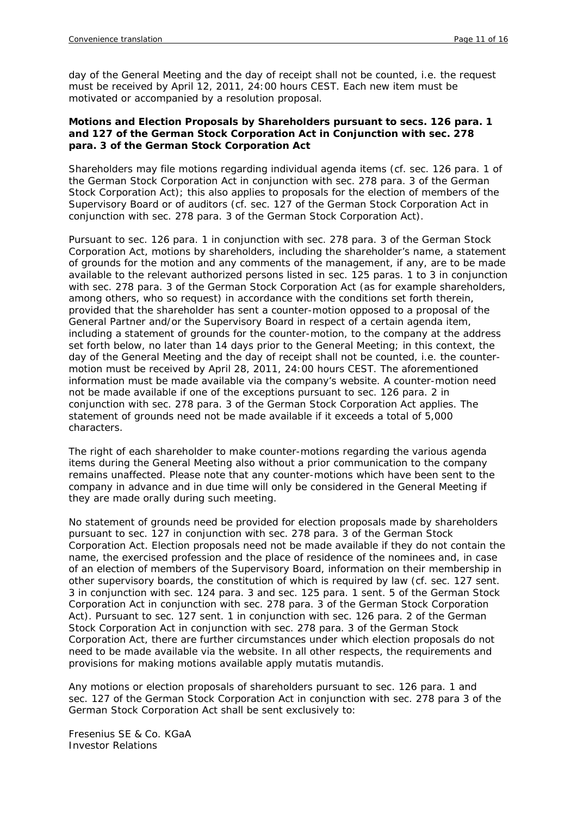day of the General Meeting and the day of receipt shall not be counted, i.e. the request must be received by April 12, 2011, 24:00 hours CEST. Each new item must be motivated or accompanied by a resolution proposal*.*

## *Motions and Election Proposals by Shareholders pursuant to secs. 126 para. 1 and 127 of the German Stock Corporation Act in Conjunction with sec. 278 para. 3 of the German Stock Corporation Act*

Shareholders may file motions regarding individual agenda items (cf. sec. 126 para. 1 of the German Stock Corporation Act in conjunction with sec. 278 para. 3 of the German Stock Corporation Act); this also applies to proposals for the election of members of the Supervisory Board or of auditors (cf. sec. 127 of the German Stock Corporation Act in conjunction with sec. 278 para. 3 of the German Stock Corporation Act).

Pursuant to sec. 126 para. 1 in conjunction with sec. 278 para. 3 of the German Stock Corporation Act, motions by shareholders, including the shareholder's name, a statement of grounds for the motion and any comments of the management, if any, are to be made available to the relevant authorized persons listed in sec. 125 paras. 1 to 3 in conjunction with sec. 278 para. 3 of the German Stock Corporation Act (as for example shareholders, among others, who so request) in accordance with the conditions set forth therein, provided that the shareholder has sent a counter-motion opposed to a proposal of the General Partner and/or the Supervisory Board in respect of a certain agenda item, including a statement of grounds for the counter-motion, to the company at the address set forth below, no later than 14 days prior to the General Meeting; in this context, the day of the General Meeting and the day of receipt shall not be counted, i.e. the countermotion must be received by April 28, 2011, 24:00 hours CEST. The aforementioned information must be made available via the company's website. A counter-motion need not be made available if one of the exceptions pursuant to sec. 126 para. 2 in conjunction with sec. 278 para. 3 of the German Stock Corporation Act applies. The statement of grounds need not be made available if it exceeds a total of 5,000 characters.

The right of each shareholder to make counter-motions regarding the various agenda items during the General Meeting also without a prior communication to the company remains unaffected. Please note that any counter-motions which have been sent to the company in advance and in due time will only be considered in the General Meeting if they are made orally during such meeting.

No statement of grounds need be provided for election proposals made by shareholders pursuant to sec. 127 in conjunction with sec. 278 para. 3 of the German Stock Corporation Act. Election proposals need not be made available if they do not contain the name, the exercised profession and the place of residence of the nominees and, in case of an election of members of the Supervisory Board, information on their membership in other supervisory boards, the constitution of which is required by law (cf. sec. 127 sent. 3 in conjunction with sec. 124 para. 3 and sec. 125 para. 1 sent. 5 of the German Stock Corporation Act in conjunction with sec. 278 para. 3 of the German Stock Corporation Act). Pursuant to sec. 127 sent. 1 in conjunction with sec. 126 para. 2 of the German Stock Corporation Act in conjunction with sec. 278 para. 3 of the German Stock Corporation Act, there are further circumstances under which election proposals do not need to be made available via the website. In all other respects, the requirements and provisions for making motions available apply mutatis mutandis.

Any motions or election proposals of shareholders pursuant to sec. 126 para. 1 and sec. 127 of the German Stock Corporation Act in conjunction with sec. 278 para 3 of the German Stock Corporation Act shall be sent exclusively to:

Fresenius SE & Co. KGaA Investor Relations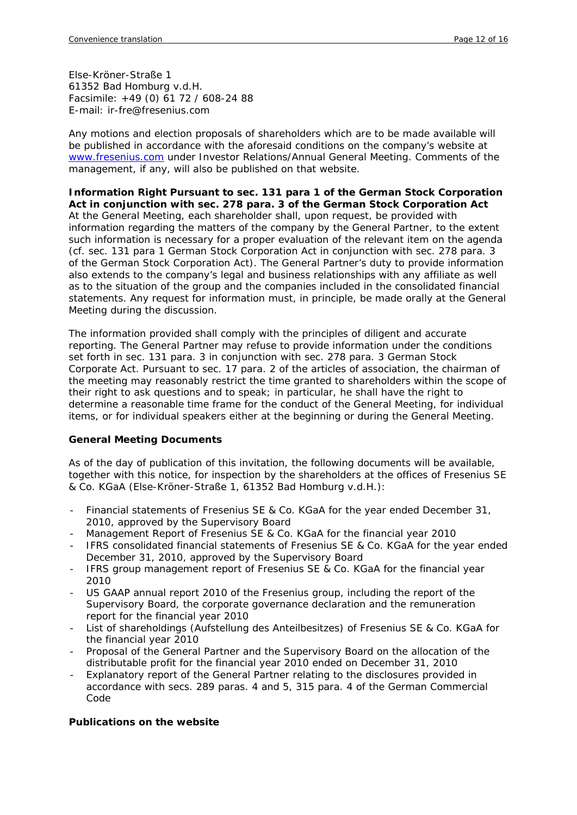Else-Kröner-Straße 1 61352 Bad Homburg v.d.H. Facsimile: +49 (0) 61 72 / 608-24 88 E-mail: ir-fre@fresenius.com

Any motions and election proposals of shareholders which are to be made available will be published in accordance with the aforesaid conditions on the company's website at [www.fresenius.com](http://www.fresenius.com/) under Investor Relations/Annual General Meeting. Comments of the management, if any, will also be published on that website.

*Information Right Pursuant to sec. 131 para 1 of the German Stock Corporation Act in conjunction with sec. 278 para. 3 of the German Stock Corporation Act*  At the General Meeting, each shareholder shall, upon request, be provided with information regarding the matters of the company by the General Partner, to the extent such information is necessary for a proper evaluation of the relevant item on the agenda (cf. sec. 131 para 1 German Stock Corporation Act in conjunction with sec. 278 para. 3 of the German Stock Corporation Act). The General Partner's duty to provide information also extends to the company's legal and business relationships with any affiliate as well as to the situation of the group and the companies included in the consolidated financial statements. Any request for information must, in principle, be made orally at the General Meeting during the discussion.

The information provided shall comply with the principles of diligent and accurate reporting. The General Partner may refuse to provide information under the conditions set forth in sec. 131 para. 3 in conjunction with sec. 278 para. 3 German Stock Corporate Act. Pursuant to sec. 17 para. 2 of the articles of association, the chairman of the meeting may reasonably restrict the time granted to shareholders within the scope of their right to ask questions and to speak; in particular, he shall have the right to determine a reasonable time frame for the conduct of the General Meeting, for individual items, or for individual speakers either at the beginning or during the General Meeting.

## **General Meeting Documents**

As of the day of publication of this invitation, the following documents will be available, together with this notice, for inspection by the shareholders at the offices of Fresenius SE & Co. KGaA (Else-Kröner-Straße 1, 61352 Bad Homburg v.d.H.):

- Financial statements of Fresenius SE & Co. KGaA for the year ended December 31, 2010, approved by the Supervisory Board
- Management Report of Fresenius SE & Co. KGaA for the financial year 2010
- IFRS consolidated financial statements of Fresenius SE & Co. KGaA for the year ended December 31, 2010, approved by the Supervisory Board
- IFRS group management report of Fresenius SE & Co. KGaA for the financial year 2010
- US GAAP annual report 2010 of the Fresenius group, including the report of the Supervisory Board, the corporate governance declaration and the remuneration report for the financial year 2010
- List of shareholdings (Aufstellung des Anteilbesitzes) of Fresenius SE & Co. KGaA for the financial year 2010
- Proposal of the General Partner and the Supervisory Board on the allocation of the distributable profit for the financial year 2010 ended on December 31, 2010
- Explanatory report of the General Partner relating to the disclosures provided in accordance with secs. 289 paras. 4 and 5, 315 para. 4 of the German Commercial Code

## **Publications on the website**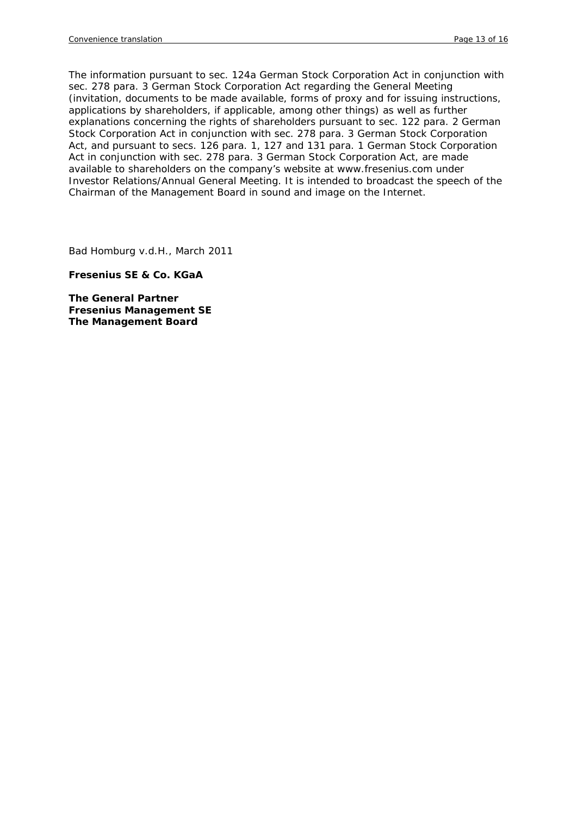The information pursuant to sec. 124a German Stock Corporation Act in conjunction with sec. 278 para. 3 German Stock Corporation Act regarding the General Meeting (invitation, documents to be made available, forms of proxy and for issuing instructions, applications by shareholders, if applicable, among other things) as well as further explanations concerning the rights of shareholders pursuant to sec. 122 para. 2 German Stock Corporation Act in conjunction with sec. 278 para. 3 German Stock Corporation Act, and pursuant to secs. 126 para. 1, 127 and 131 para. 1 German Stock Corporation Act in conjunction with sec. 278 para. 3 German Stock Corporation Act, are made available to shareholders on the company's website at [www.fresenius.com](http://www.fresenius.com/) under Investor Relations/Annual General Meeting. It is intended to broadcast the speech of the Chairman of the Management Board in sound and image on the Internet.

Bad Homburg v.d.H., March 2011

**Fresenius SE & Co. KGaA** 

**The General Partner Fresenius Management SE The Management Board**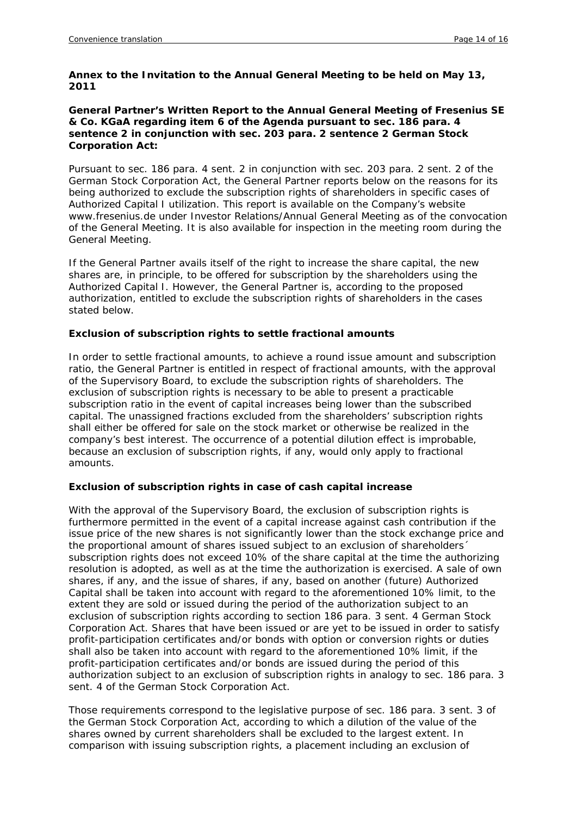#### **Annex to the Invitation to the Annual General Meeting to be held on May 13, 2011**

#### **General Partner's Written Report to the Annual General Meeting of Fresenius SE & Co. KGaA regarding item 6 of the Agenda pursuant to sec. 186 para. 4 sentence 2 in conjunction with sec. 203 para. 2 sentence 2 German Stock Corporation Act:**

Pursuant to sec. 186 para. 4 sent. 2 in conjunction with sec. 203 para. 2 sent. 2 of the German Stock Corporation Act, the General Partner reports below on the reasons for its being authorized to exclude the subscription rights of shareholders in specific cases of Authorized Capital I utilization. This report is available on the Company's website www.fresenius.de under Investor Relations/Annual General Meeting as of the convocation of the General Meeting. It is also available for inspection in the meeting room during the General Meeting.

If the General Partner avails itself of the right to increase the share capital, the new shares are, in principle, to be offered for subscription by the shareholders using the Authorized Capital I. However, the General Partner is, according to the proposed authorization, entitled to exclude the subscription rights of shareholders in the cases stated below.

## **Exclusion of subscription rights to settle fractional amounts**

In order to settle fractional amounts, to achieve a round issue amount and subscription ratio, the General Partner is entitled in respect of fractional amounts, with the approval of the Supervisory Board, to exclude the subscription rights of shareholders. The exclusion of subscription rights is necessary to be able to present a practicable subscription ratio in the event of capital increases being lower than the subscribed capital. The unassigned fractions excluded from the shareholders' subscription rights shall either be offered for sale on the stock market or otherwise be realized in the company's best interest. The occurrence of a potential dilution effect is improbable, because an exclusion of subscription rights, if any, would only apply to fractional amounts.

## **Exclusion of subscription rights in case of cash capital increase**

With the approval of the Supervisory Board, the exclusion of subscription rights is furthermore permitted in the event of a capital increase against cash contribution if the issue price of the new shares is not significantly lower than the stock exchange price and the proportional amount of shares issued subject to an exclusion of shareholders´ subscription rights does not exceed 10% of the share capital at the time the authorizing resolution is adopted, as well as at the time the authorization is exercised. A sale of own shares, if any, and the issue of shares, if any, based on another (future) Authorized Capital shall be taken into account with regard to the aforementioned 10% limit, to the extent they are sold or issued during the period of the authorization subject to an exclusion of subscription rights according to section 186 para. 3 sent. 4 German Stock Corporation Act. Shares that have been issued or are yet to be issued in order to satisfy profit-participation certificates and/or bonds with option or conversion rights or duties shall also be taken into account with regard to the aforementioned 10% limit, if the profit-participation certificates and/or bonds are issued during the period of this authorization subject to an exclusion of subscription rights in analogy to sec. 186 para. 3 sent. 4 of the German Stock Corporation Act.

Those requirements correspond to the legislative purpose of sec. 186 para. 3 sent. 3 of the German Stock Corporation Act, according to which a dilution of the value of the shares owned by current shareholders shall be excluded to the largest extent. In comparison with issuing subscription rights, a placement including an exclusion of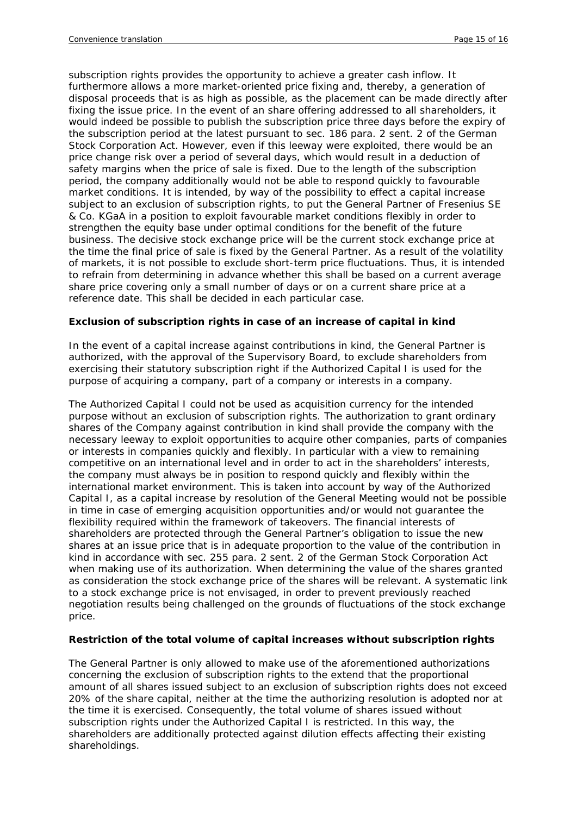subscription rights provides the opportunity to achieve a greater cash inflow. It furthermore allows a more market-oriented price fixing and, thereby, a generation of disposal proceeds that is as high as possible, as the placement can be made directly after fixing the issue price. In the event of an share offering addressed to all shareholders, it would indeed be possible to publish the subscription price three days before the expiry of the subscription period at the latest pursuant to sec. 186 para. 2 sent. 2 of the German Stock Corporation Act. However, even if this leeway were exploited, there would be an price change risk over a period of several days, which would result in a deduction of safety margins when the price of sale is fixed. Due to the length of the subscription period, the company additionally would not be able to respond quickly to favourable market conditions. It is intended, by way of the possibility to effect a capital increase subject to an exclusion of subscription rights, to put the General Partner of Fresenius SE & Co. KGaA in a position to exploit favourable market conditions flexibly in order to strengthen the equity base under optimal conditions for the benefit of the future business. The decisive stock exchange price will be the current stock exchange price at the time the final price of sale is fixed by the General Partner. As a result of the volatility of markets, it is not possible to exclude short-term price fluctuations. Thus, it is intended to refrain from determining in advance whether this shall be based on a current average share price covering only a small number of days or on a current share price at a reference date. This shall be decided in each particular case.

## **Exclusion of subscription rights in case of an increase of capital in kind**

In the event of a capital increase against contributions in kind, the General Partner is authorized, with the approval of the Supervisory Board, to exclude shareholders from exercising their statutory subscription right if the Authorized Capital I is used for the purpose of acquiring a company, part of a company or interests in a company.

The Authorized Capital I could not be used as acquisition currency for the intended purpose without an exclusion of subscription rights. The authorization to grant ordinary shares of the Company against contribution in kind shall provide the company with the necessary leeway to exploit opportunities to acquire other companies, parts of companies or interests in companies quickly and flexibly. In particular with a view to remaining competitive on an international level and in order to act in the shareholders' interests, the company must always be in position to respond quickly and flexibly within the international market environment. This is taken into account by way of the Authorized Capital I, as a capital increase by resolution of the General Meeting would not be possible in time in case of emerging acquisition opportunities and/or would not guarantee the flexibility required within the framework of takeovers. The financial interests of shareholders are protected through the General Partner's obligation to issue the new shares at an issue price that is in adequate proportion to the value of the contribution in kind in accordance with sec. 255 para. 2 sent. 2 of the German Stock Corporation Act when making use of its authorization. When determining the value of the shares granted as consideration the stock exchange price of the shares will be relevant. A systematic link to a stock exchange price is not envisaged, in order to prevent previously reached negotiation results being challenged on the grounds of fluctuations of the stock exchange price.

## **Restriction of the total volume of capital increases without subscription rights**

The General Partner is only allowed to make use of the aforementioned authorizations concerning the exclusion of subscription rights to the extend that the proportional amount of all shares issued subject to an exclusion of subscription rights does not exceed 20% of the share capital, neither at the time the authorizing resolution is adopted nor at the time it is exercised. Consequently, the total volume of shares issued without subscription rights under the Authorized Capital I is restricted. In this way, the shareholders are additionally protected against dilution effects affecting their existing shareholdings.